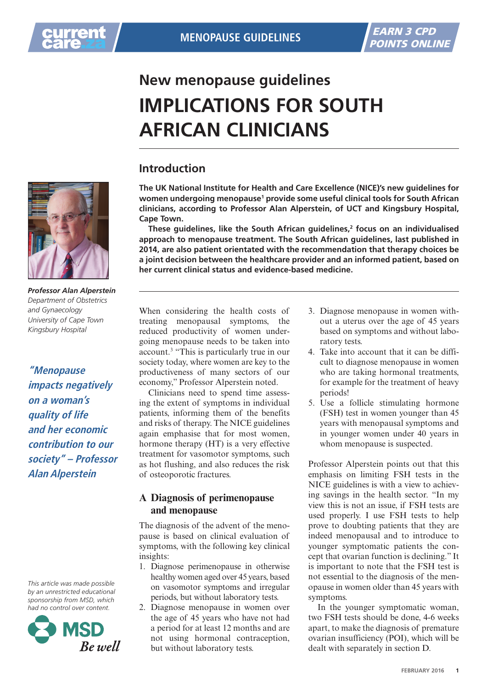## **New menopause guidelines implications for South African clinicians**

## **Introduction**

**The UK National Institute for Health and Care Excellence (NICE)'s new guidelines for women undergoing menopause1 provide some useful clinical tools for South African clinicians, according to Professor Alan Alperstein, of UCT and Kingsbury Hospital, Cape Town.**

**These guidelines, like the South African guidelines,2 focus on an individualised approach to menopause treatment. The South African guidelines, last published in 2014, are also patient orientated with the recommendation that therapy choices be a joint decision between the healthcare provider and an informed patient, based on her current clinical status and evidence-based medicine.**



*Professor Alan Alperstein Department of Obstetrics and Gynaecology University of Cape Town Kingsbury Hospital*

**"Menopause impacts negatively on a woman's quality of life and her economic contribution to our society" – Professor Alan Alperstein**

*This article was made possible by an unrestricted educational sponsorship from MSD, which had no control over content.*



When considering the health costs of treating menopausal symptoms, the reduced productivity of women undergoing menopause needs to be taken into account.<sup>3</sup> "This is particularly true in our society today, where women are key to the productiveness of many sectors of our economy," Professor Alperstein noted.

Clinicians need to spend time assessing the extent of symptoms in individual patients, informing them of the benefits and risks of therapy. The NICE guidelines again emphasise that for most women, hormone therapy (HT) is a very effective treatment for vasomotor symptoms, such as hot flushing, and also reduces the risk of osteoporotic fractures.

## **A Diagnosis of perimenopause and menopause**

The diagnosis of the advent of the menopause is based on clinical evaluation of symptoms, with the following key clinical insights:

- 1. Diagnose perimenopause in otherwise healthy women aged over 45 years, based on vasomotor symptoms and irregular periods, but without laboratory tests.
- 2. Diagnose menopause in women over the age of 45 years who have not had a period for at least 12 months and are not using hormonal contraception, but without laboratory tests.
- 3. Diagnose menopause in women without a uterus over the age of 45 years based on symptoms and without laboratory tests.
- 4. Take into account that it can be difficult to diagnose menopause in women who are taking hormonal treatments, for example for the treatment of heavy periods!
- 5. Use a follicle stimulating hormone (FSH) test in women younger than 45 years with menopausal symptoms and in younger women under 40 years in whom menopause is suspected.

Professor Alperstein points out that this emphasis on limiting FSH tests in the NICE guidelines is with a view to achieving savings in the health sector. "In my view this is not an issue, if FSH tests are used properly. I use FSH tests to help prove to doubting patients that they are indeed menopausal and to introduce to younger symptomatic patients the concept that ovarian function is declining." It is important to note that the FSH test is not essential to the diagnosis of the menopause in women older than 45 years with symptoms.

In the younger symptomatic woman, two FSH tests should be done, 4-6 weeks apart, to make the diagnosis of premature ovarian insufficiency (POI), which will be dealt with separately in section D.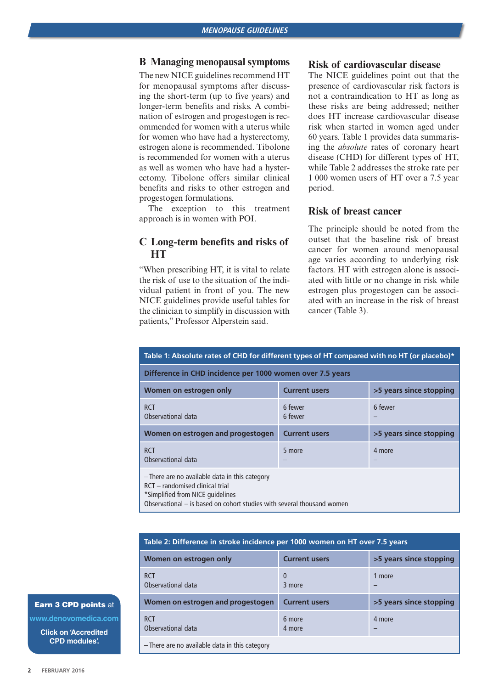### **B Managing menopausal symptoms**

The new NICE guidelines recommend HT for menopausal symptoms after discussing the short-term (up to five years) and longer-term benefits and risks. A combination of estrogen and progestogen is recommended for women with a uterus while for women who have had a hysterectomy, estrogen alone is recommended. Tibolone is recommended for women with a uterus as well as women who have had a hysterectomy. Tibolone offers similar clinical benefits and risks to other estrogen and progestogen formulations.

The exception to this treatment approach is in women with POI.

## **C Long-term benefits and risks of HT**

"When prescribing HT, it is vital to relate the risk of use to the situation of the individual patient in front of you. The new NICE guidelines provide useful tables for the clinician to simplify in discussion with patients," Professor Alperstein said.

## **Risk of cardiovascular disease**

The NICE guidelines point out that the presence of cardiovascular risk factors is not a contraindication to HT as long as these risks are being addressed; neither does HT increase cardiovascular disease risk when started in women aged under 60 years. Table 1 provides data summarising the *absolute* rates of coronary heart disease (CHD) for different types of HT, while Table 2 addresses the stroke rate per 1 000 women users of HT over a 7.5 year period.

## **Risk of breast cancer**

The principle should be noted from the outset that the baseline risk of breast cancer for women around menopausal age varies according to underlying risk factors. HT with estrogen alone is associated with little or no change in risk while estrogen plus progestogen can be associated with an increase in the risk of breast cancer (Table 3).

| Table 1: Absolute rates of CHD for different types of HT compared with no HT (or placebo)*                                                                                                      |                      |                         |  |  |  |  |
|-------------------------------------------------------------------------------------------------------------------------------------------------------------------------------------------------|----------------------|-------------------------|--|--|--|--|
| Difference in CHD incidence per 1000 women over 7.5 years                                                                                                                                       |                      |                         |  |  |  |  |
| Women on estrogen only                                                                                                                                                                          | <b>Current users</b> | >5 years since stopping |  |  |  |  |
| <b>RCT</b><br>Observational data                                                                                                                                                                | 6 fewer<br>6 fewer   | 6 fewer                 |  |  |  |  |
| Women on estrogen and progestogen                                                                                                                                                               | <b>Current users</b> | >5 years since stopping |  |  |  |  |
| <b>RCT</b><br>Observational data                                                                                                                                                                | 5 more               | 4 more                  |  |  |  |  |
| - There are no available data in this category<br>RCT - randomised clinical trial<br>*Simplified from NICE quidelines<br>Observational – is based on cohort studies with several thousand women |                      |                         |  |  |  |  |

| Table 2: Difference in stroke incidence per 1000 women on HT over 7.5 years |                      |                         |  |  |  |
|-----------------------------------------------------------------------------|----------------------|-------------------------|--|--|--|
| Women on estrogen only                                                      | <b>Current users</b> | >5 years since stopping |  |  |  |
| <b>RCT</b><br>Observational data                                            | $\Omega$<br>3 more   | 1 more                  |  |  |  |
| Women on estrogen and progestogen                                           | <b>Current users</b> | >5 years since stopping |  |  |  |
| <b>RCT</b><br>Observational data                                            | 6 more<br>4 more     | 4 more                  |  |  |  |
| - There are no available data in this category                              |                      |                         |  |  |  |

#### Earn 3 CPD points at

**www.denovomedica.com**

**Click on 'Accredited CPD modules'.**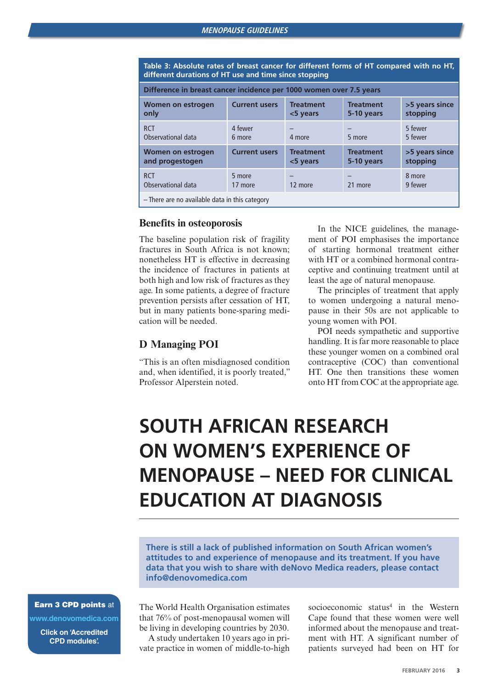**Table 3: Absolute rates of breast cancer for different forms of HT compared with no HT, different durations of HT use and time since stopping**

| Difference in breast cancer incidence per 1000 women over 7.5 years |                      |                                 |                                |                            |  |  |
|---------------------------------------------------------------------|----------------------|---------------------------------|--------------------------------|----------------------------|--|--|
| Women on estrogen<br>only                                           | <b>Current users</b> | <b>Treatment</b><br>$<$ 5 years | <b>Treatment</b><br>5-10 years | >5 years since<br>stopping |  |  |
| <b>RCT</b><br>Observational data                                    | 4 fewer<br>6 more    | 4 more                          | 5 more                         | 5 fewer<br>5 fewer         |  |  |
| Women on estrogen<br>and progestogen                                | <b>Current users</b> | <b>Treatment</b><br><5 years    | <b>Treatment</b><br>5-10 years | >5 years since<br>stopping |  |  |
| <b>RCT</b><br>Observational data                                    | 5 more<br>17 more    | 12 more                         | 21 more                        | 8 more<br>9 fewer          |  |  |
| - There are no available data in this category                      |                      |                                 |                                |                            |  |  |

#### **Benefits in osteoporosis**

The baseline population risk of fragility fractures in South Africa is not known; nonetheless HT is effective in decreasing the incidence of fractures in patients at both high and low risk of fractures as they age. In some patients, a degree of fracture prevention persists after cessation of HT, but in many patients bone-sparing medication will be needed.

## **D Managing POI**

"This is an often misdiagnosed condition and, when identified, it is poorly treated," Professor Alperstein noted.

In the NICE guidelines, the management of POI emphasises the importance of starting hormonal treatment either with HT or a combined hormonal contraceptive and continuing treatment until at least the age of natural menopause.

The principles of treatment that apply to women undergoing a natural menopause in their 50s are not applicable to young women with POI.

POI needs sympathetic and supportive handling. It is far more reasonable to place these younger women on a combined oral contraceptive (COC) than conventional HT. One then transitions these women onto HT from COC at the appropriate age.

# **South African research on women's experience of menopause – need for clinical education at diagnosis**

**There is still a lack of published information on South African women's attitudes to and experience of menopause and its treatment. If you have data that you wish to share with deNovo Medica readers, please contact info@denovomedica.com** 

Earn 3 CPD points at

**www.denovomedica.com**

**Click on 'Accredited CPD modules'.**

The World Health Organisation estimates that 76% of post-menopausal women will be living in developing countries by 2030.

A study undertaken 10 years ago in private practice in women of middle-to-high

socioeconomic status<sup>4</sup> in the Western Cape found that these women were well informed about the menopause and treatment with HT. A significant number of patients surveyed had been on HT for